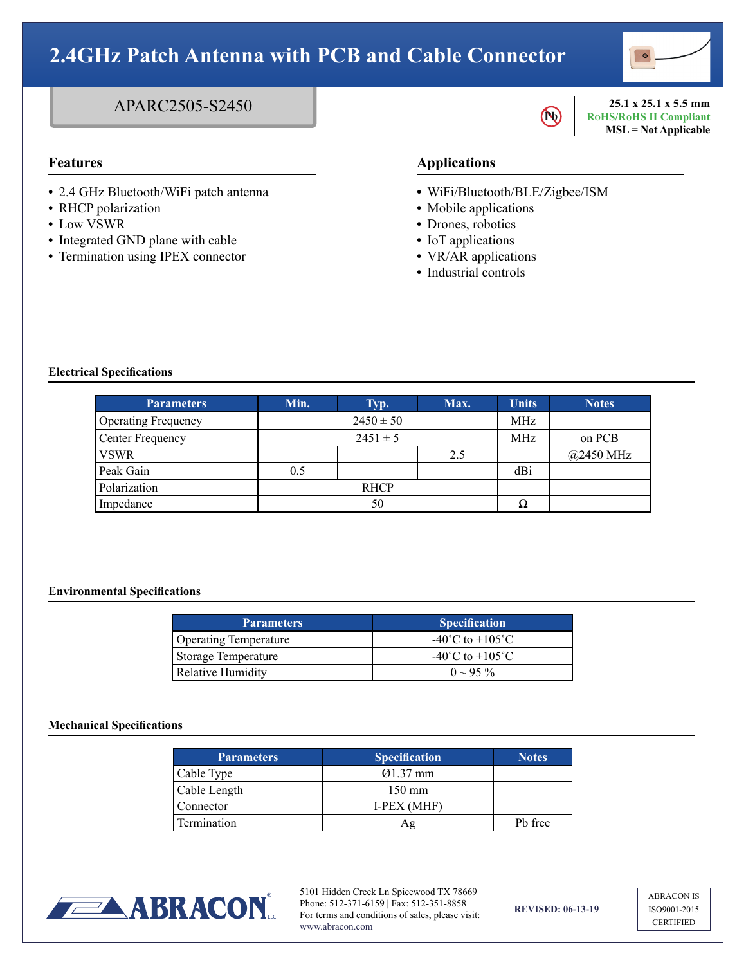

### APARC2505-S2450

- **•** 2.4 GHz Bluetooth/WiFi patch antenna
- **•** RHCP polarization
- **•** Low VSWR
- **•** Integrated GND plane with cable
- **•** Termination using IPEX connector

## **Pb**

**25.1 x 25.1 x 5.5 mm RoHS/RoHS II Compliant MSL = Not Applicable**

### **Features Applications**

- **•** WiFi/Bluetooth/BLE/Zigbee/ISM
- **•** Mobile applications
- **•** Drones, robotics
- **•** IoT applications
- **•** VR/AR applications
- **•** Industrial controls

### **Electrical Specifications**

| <b>Parameters</b>          | Min.          | Typ. | Max.       | <b>Units</b> | <b>Notes</b>        |
|----------------------------|---------------|------|------------|--------------|---------------------|
| <b>Operating Frequency</b> | $2450 \pm 50$ |      |            | MHz          |                     |
| Center Frequency           | $2451 \pm 5$  |      | <b>MHz</b> | on PCB       |                     |
| <b>VSWR</b>                |               |      | 2.5        |              | $@2450 \text{ MHz}$ |
| Peak Gain                  | 0.5           |      |            | dBi          |                     |
| Polarization               | <b>RHCP</b>   |      |            |              |                     |
| Impedance                  | 50            |      | Ω          |              |                     |

### **Environmental Specifications**

| <b>Parameters</b>            | <b>Specification</b>                |
|------------------------------|-------------------------------------|
| <b>Operating Temperature</b> | $-40^{\circ}$ C to $+105^{\circ}$ C |
| Storage Temperature          | $-40^{\circ}$ C to $+105^{\circ}$ C |
| Relative Humidity            | $0 \sim 95 \%$                      |

#### **Mechanical Specifications**

| <b>Parameters</b> | <b>Specification</b> | <b>Notes</b> |
|-------------------|----------------------|--------------|
| Cable Type        | $Q1.37$ mm           |              |
| Cable Length      | $150 \text{ mm}$     |              |
| Connector         | <b>I-PEX (MHF)</b>   |              |
| Termination       |                      | Pb free      |



5101 Hidden Creek Ln Spicewood TX 78669 Phone: 512-371-6159 | Fax: 512-351-8858 For terms and conditions of sales, please visit: www.abracon.com

**REVISED: 06-13-19**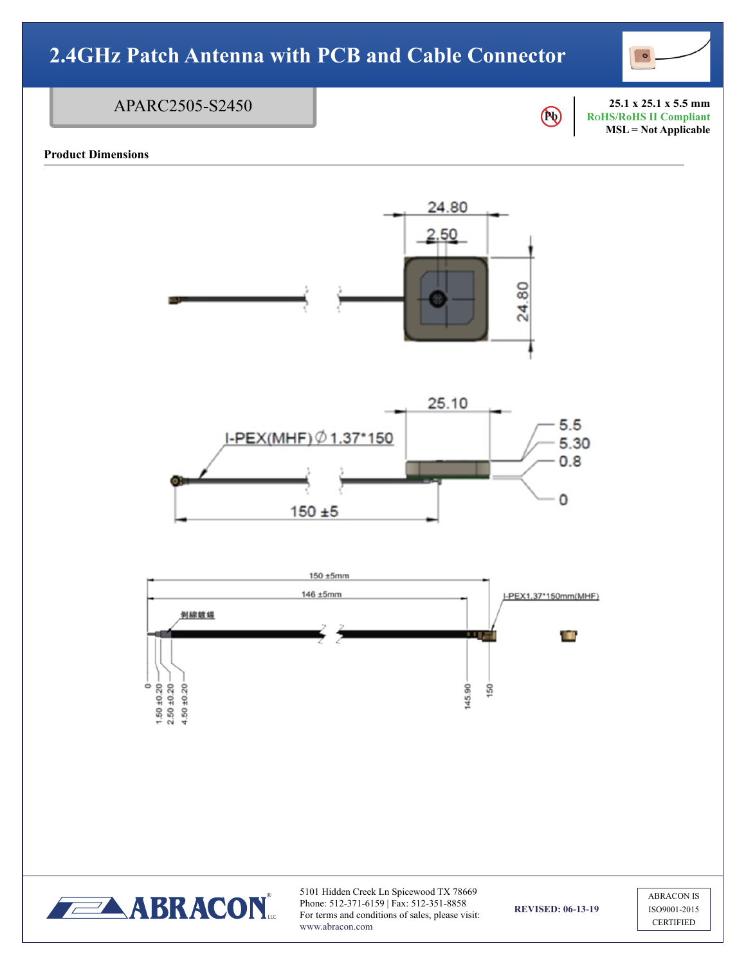

#### **Pb 25.1 x 25.1 x 5.5 mm RoHS/RoHS II Compliant MSL = Not Applicable** APARC2505-S2450

### **Product Dimensions**

24.80 2.50 24.80 25.10  $5.5$ I-PEX(MHF) Ø 1.37\*150 5.30  $0.8$ 0  $150 + 5$ 150 ±5mm 146 ±5mm I-PEX1.37\*150mm(MHF) 剝線鏡錫 œ  $\begin{array}{c}\n 0 \\
1.50 \pm 0.20 \\
2.50 \pm 0.20 \\
4.50 \pm 0.20\n\end{array}$ 145.90 150



5101 Hidden Creek Ln Spicewood TX 78669 Phone: 512-371-6159 | Fax: 512-351-8858 For terms and conditions of sales, please visit: www.abracon.com

**REVISED: 06-13-19**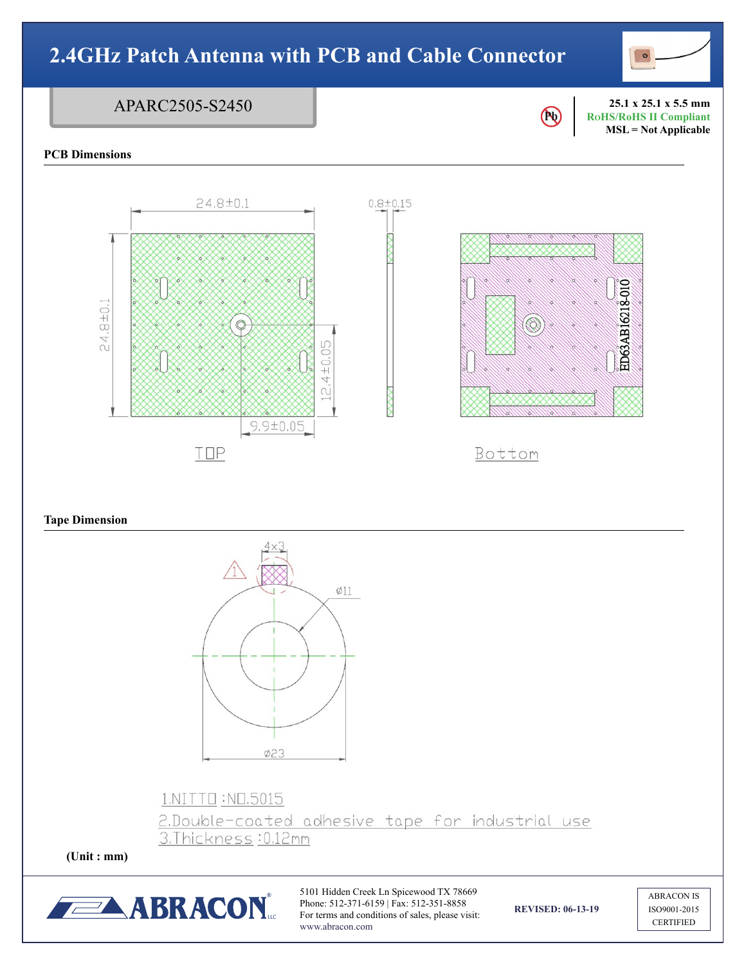## **2.4GHz Patch Antenna with PCB and Cable Connector** APARC2505-S2450 **25.1 x 25.1 x 5.5 mm**  $\bigcirc$ **RoHS/RoHS II Compliant MSL = Not Applicable PCB Dimensions**  $24.8 \pm 0.1$  $0.8 + 0.15$ ED63AB16218-010 24.8±0.

4±0.05

 $\alpha$ 

### **Tape Dimension**



 $9.9 \pm 0.05$ 

TOP

### 1.NITTO:NO.5015

2.Double-coated adhesive tape for industrial use 3.Thickness: 0.12mm

**(Unit : mm)**



5101 Hidden Creek Ln Spicewood TX 78669 Phone: 512-371-6159 | Fax: 512-351-8858 For terms and conditions of sales, please visit: www.abracon.com

**REVISED: 06-13-19**

Bottom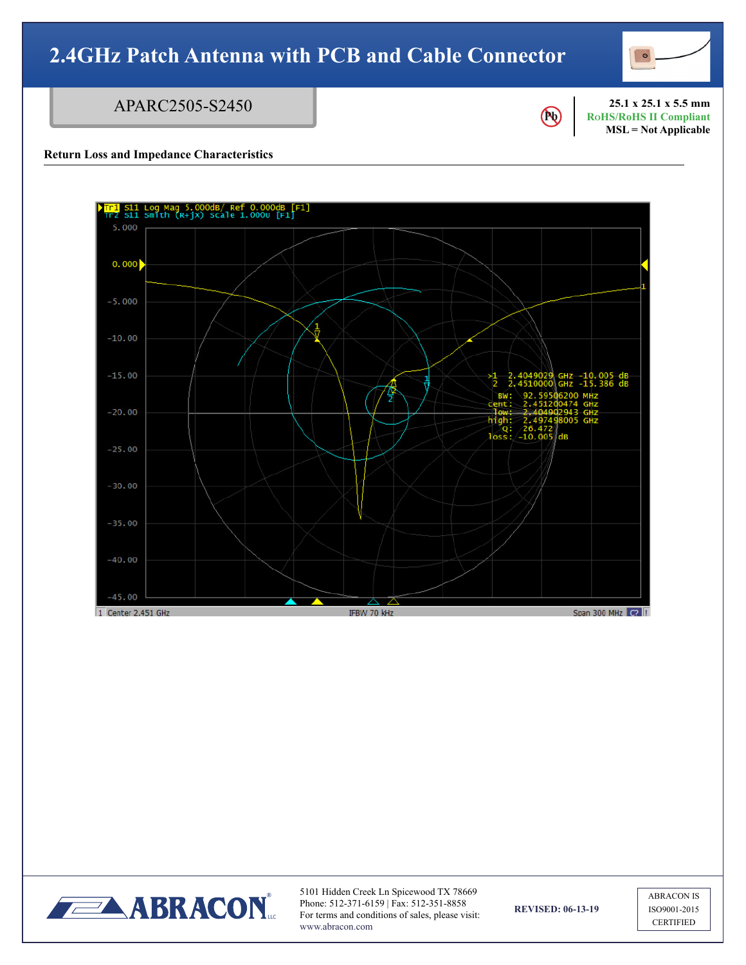### APARC2505-S2450



**25.1 x 25.1 x 5.5 mm RoHS/RoHS II Compliant MSL = Not Applicable**

### **Return Loss and Impedance Characteristics**





5101 Hidden Creek Ln Spicewood TX 78669 Phone: 512-371-6159 | Fax: 512-351-8858 For terms and conditions of sales, please visit: www.abracon.com

**REVISED: 06-13-19**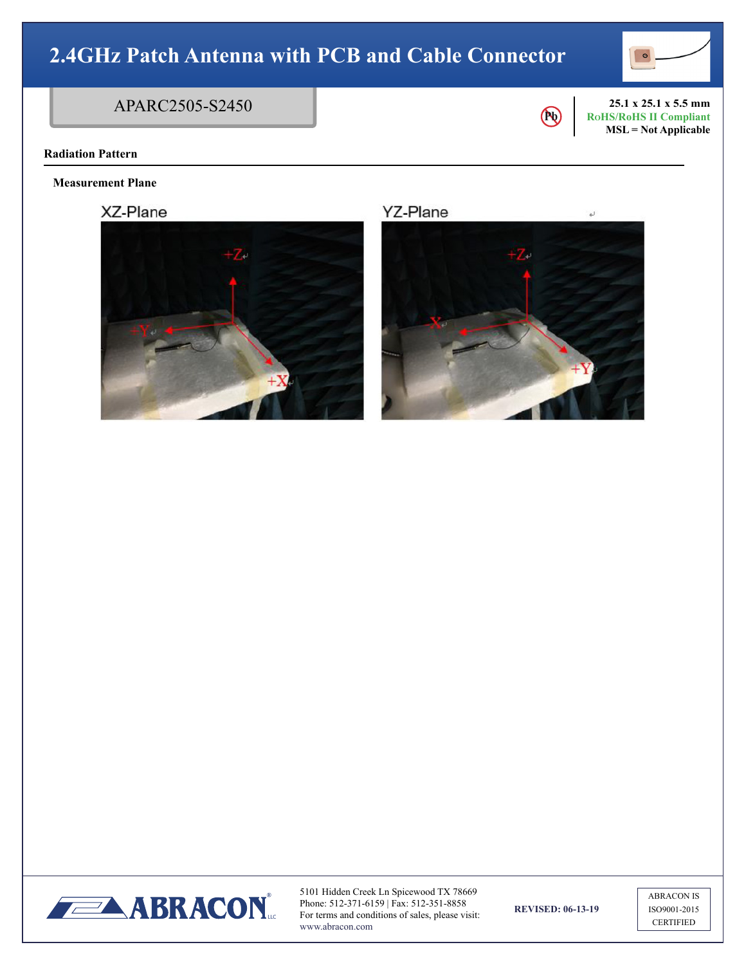

### APARC2505-S2450



s)

**25.1 x 25.1 x 5.5 mm RoHS/RoHS II Compliant MSL = Not Applicable**

### **Radiation Pattern**

**Measurement Plane**

XZ-Plane



**YZ-Plane** 





5101 Hidden Creek Ln Spicewood TX 78669 Phone: 512-371-6159 | Fax: 512-351-8858 For terms and conditions of sales, please visit: www.abracon.com

**REVISED: 06-13-19**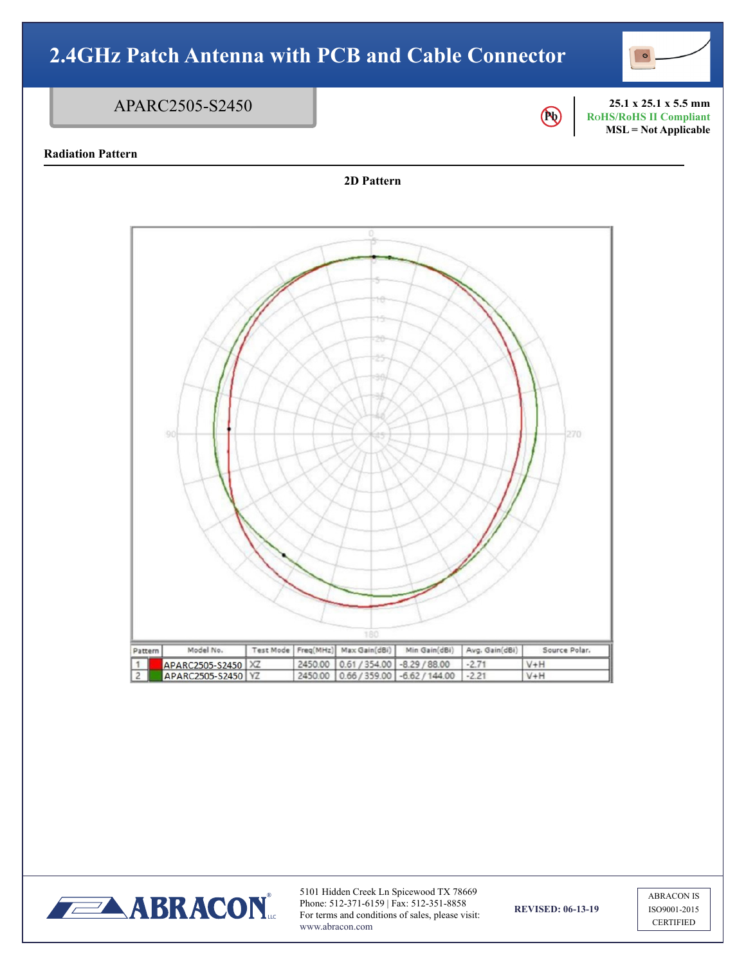### APARC2505-S2450







5101 Hidden Creek Ln Spicewood TX 78669 Phone: 512-371-6159 | Fax: 512-351-8858 For terms and conditions of sales, please visit: www.abracon.com

**REVISED: 06-13-19**

**Pb** 

**25.1 x 25.1 x 5.5 mm RoHS/RoHS II Compliant MSL = Not Applicable**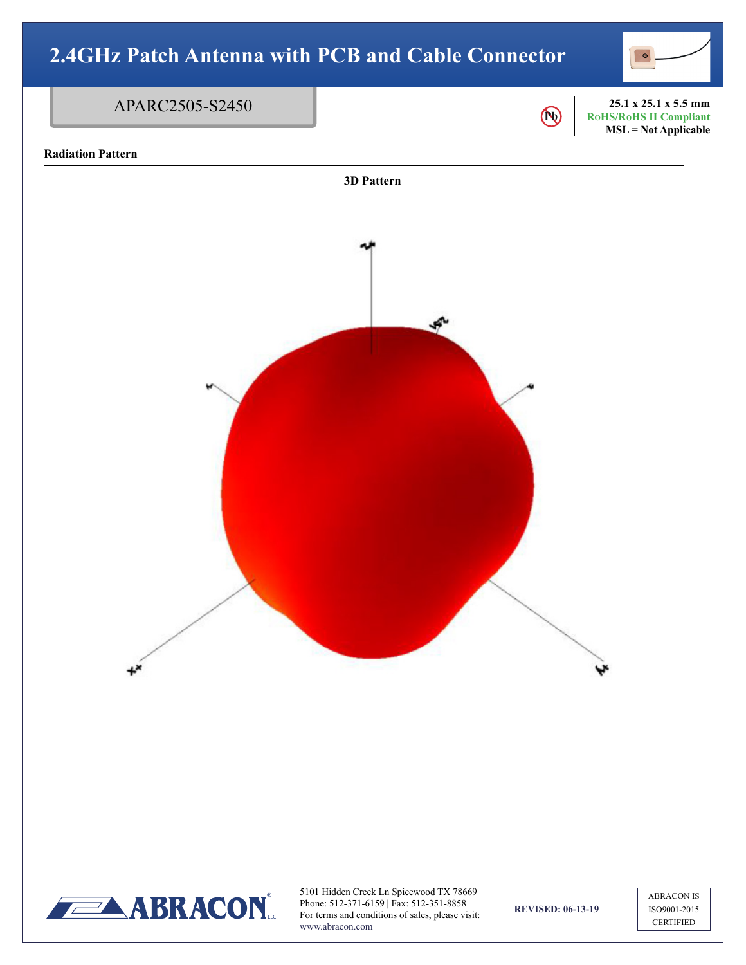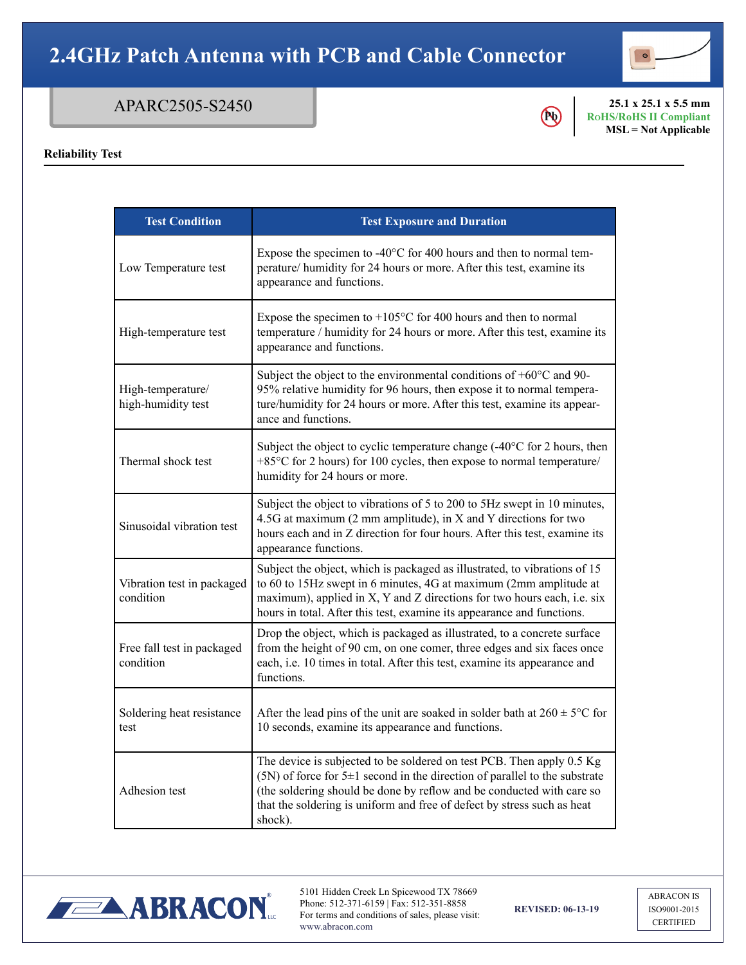

### APARC2505-S2450

## **Pb**

**25.1 x 25.1 x 5.5 mm RoHS/RoHS II Compliant MSL = Not Applicable**

### **Reliability Test**

| <b>Test Condition</b>                   | <b>Test Exposure and Duration</b>                                                                                                                                                                                                                                                                                          |  |  |
|-----------------------------------------|----------------------------------------------------------------------------------------------------------------------------------------------------------------------------------------------------------------------------------------------------------------------------------------------------------------------------|--|--|
| Low Temperature test                    | Expose the specimen to $-40^{\circ}$ C for 400 hours and then to normal tem-<br>perature/ humidity for 24 hours or more. After this test, examine its<br>appearance and functions.                                                                                                                                         |  |  |
| High-temperature test                   | Expose the specimen to $+105^{\circ}$ C for 400 hours and then to normal<br>temperature / humidity for 24 hours or more. After this test, examine its<br>appearance and functions.                                                                                                                                         |  |  |
| High-temperature/<br>high-humidity test | Subject the object to the environmental conditions of $+60^{\circ}$ C and 90-<br>95% relative humidity for 96 hours, then expose it to normal tempera-<br>ture/humidity for 24 hours or more. After this test, examine its appear-<br>ance and functions.                                                                  |  |  |
| Thermal shock test                      | Subject the object to cyclic temperature change $(-40^{\circ}$ C for 2 hours, then<br>+85°C for 2 hours) for 100 cycles, then expose to normal temperature/<br>humidity for 24 hours or more.                                                                                                                              |  |  |
| Sinusoidal vibration test               | Subject the object to vibrations of 5 to 200 to 5Hz swept in 10 minutes,<br>4.5G at maximum (2 mm amplitude), in X and Y directions for two<br>hours each and in Z direction for four hours. After this test, examine its<br>appearance functions.                                                                         |  |  |
| Vibration test in packaged<br>condition | Subject the object, which is packaged as illustrated, to vibrations of 15<br>to 60 to 15Hz swept in 6 minutes, 4G at maximum (2mm amplitude at<br>maximum), applied in X, Y and Z directions for two hours each, i.e. six<br>hours in total. After this test, examine its appearance and functions.                        |  |  |
| Free fall test in packaged<br>condition | Drop the object, which is packaged as illustrated, to a concrete surface<br>from the height of 90 cm, on one comer, three edges and six faces once<br>each, i.e. 10 times in total. After this test, examine its appearance and<br>functions.                                                                              |  |  |
| Soldering heat resistance<br>test       | After the lead pins of the unit are soaked in solder bath at $260 \pm 5^{\circ}$ C for<br>10 seconds, examine its appearance and functions.                                                                                                                                                                                |  |  |
| Adhesion test                           | The device is subjected to be soldered on test PCB. Then apply 0.5 Kg<br>$(5N)$ of force for 5 $\pm$ 1 second in the direction of parallel to the substrate<br>(the soldering should be done by reflow and be conducted with care so<br>that the soldering is uniform and free of defect by stress such as heat<br>shock). |  |  |



5101 Hidden Creek Ln Spicewood TX 78669 Phone: 512-371-6159 | Fax: 512-351-8858 For terms and conditions of sales, please visit: www.abracon.com

**REVISED: 06-13-19**